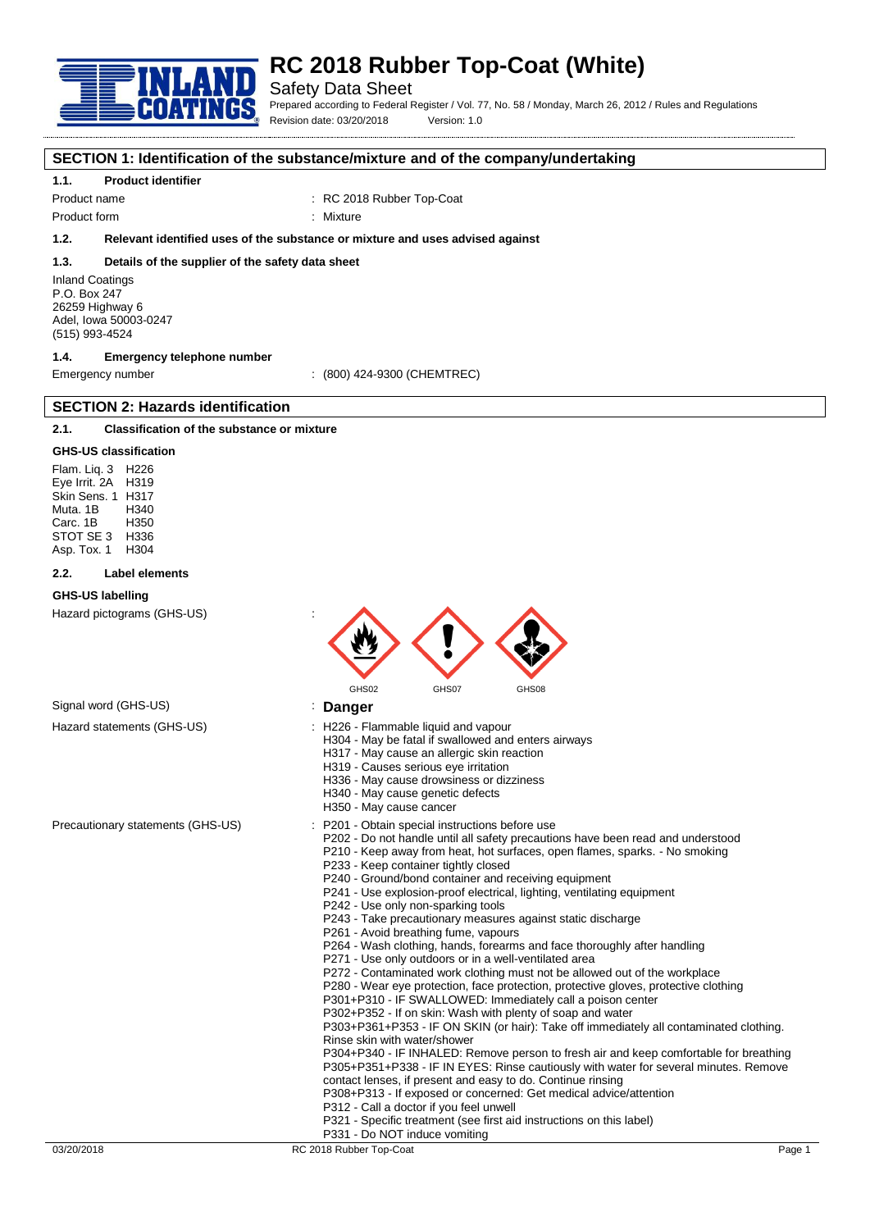

# **RC 2018 Rubber Top-Coat (White)**

## Safety Data Sheet

Prepared according to Federal Register / Vol. 77, No. 58 / Monday, March 26, 2012 / Rules and Regulations Revision date: 03/20/2018 Version: 1.0

## **SECTION 1: Identification of the substance/mixture and of the company/undertaking**

### **1.1. Product identifier**

Product name  $\qquad \qquad : \qquad \text{RC 2018 Rubber Top-Coat}$ 

Product form : Nixture

**1.2. Relevant identified uses of the substance or mixture and uses advised against**

#### **1.3. Details of the supplier of the safety data sheet**

Inland Coatings P.O. Box 247 26259 Highway 6 Adel, Iowa 50003-0247 (515) 993-4524

## **1.4. Emergency telephone number**

Emergency number : (800) 424-9300 (CHEMTREC)

## **2.1. Classification of the substance or mixture**

**SECTION 2: Hazards identification**

#### **GHS-US classification**

Flam. Liq. 3 H226 Eye Irrit. 2A H319 Skin Sens. 1 H317 Muta. 1B H340 Carc. 1B H350 STOT SE 3 H336<br>Asp Tox 1 H304 Asp. Tox. 1

#### **2.2. Label elements**

#### **GHS-US labelling**

Hazard pictograms (GHS-US) :



### Signal word (GHS-US) **in the US** is **Danger** Hazard statements (GHS-US) : H226 - Flammable liquid and vapour

- - H304 May be fatal if swallowed and enters airways
		- H317 May cause an allergic skin reaction
		- H319 Causes serious eye irritation
		- H336 May cause drowsiness or dizziness
		- H340 May cause genetic defects
		- H350 May cause cancer
- Precautionary statements (GHS-US) : P201 Obtain special instructions before use
	- P202 Do not handle until all safety precautions have been read and understood
		- P210 Keep away from heat, hot surfaces, open flames, sparks. No smoking
		- P233 Keep container tightly closed
	- P240 Ground/bond container and receiving equipment
	- P241 Use explosion-proof electrical, lighting, ventilating equipment
	- P242 Use only non-sparking tools
	- P243 Take precautionary measures against static discharge
	- P261 Avoid breathing fume, vapours
	- P264 Wash clothing, hands, forearms and face thoroughly after handling
	- P271 Use only outdoors or in a well-ventilated area
	- P272 Contaminated work clothing must not be allowed out of the workplace
	- P280 Wear eye protection, face protection, protective gloves, protective clothing
	- P301+P310 IF SWALLOWED: Immediately call a poison center
	- P302+P352 If on skin: Wash with plenty of soap and water

P303+P361+P353 - IF ON SKIN (or hair): Take off immediately all contaminated clothing. Rinse skin with water/shower

P304+P340 - IF INHALED: Remove person to fresh air and keep comfortable for breathing P305+P351+P338 - IF IN EYES: Rinse cautiously with water for several minutes. Remove contact lenses, if present and easy to do. Continue rinsing

- P308+P313 If exposed or concerned: Get medical advice/attention
- P312 Call a doctor if you feel unwell
- P321 Specific treatment (see first aid instructions on this label)
- P331 Do NOT induce vomiting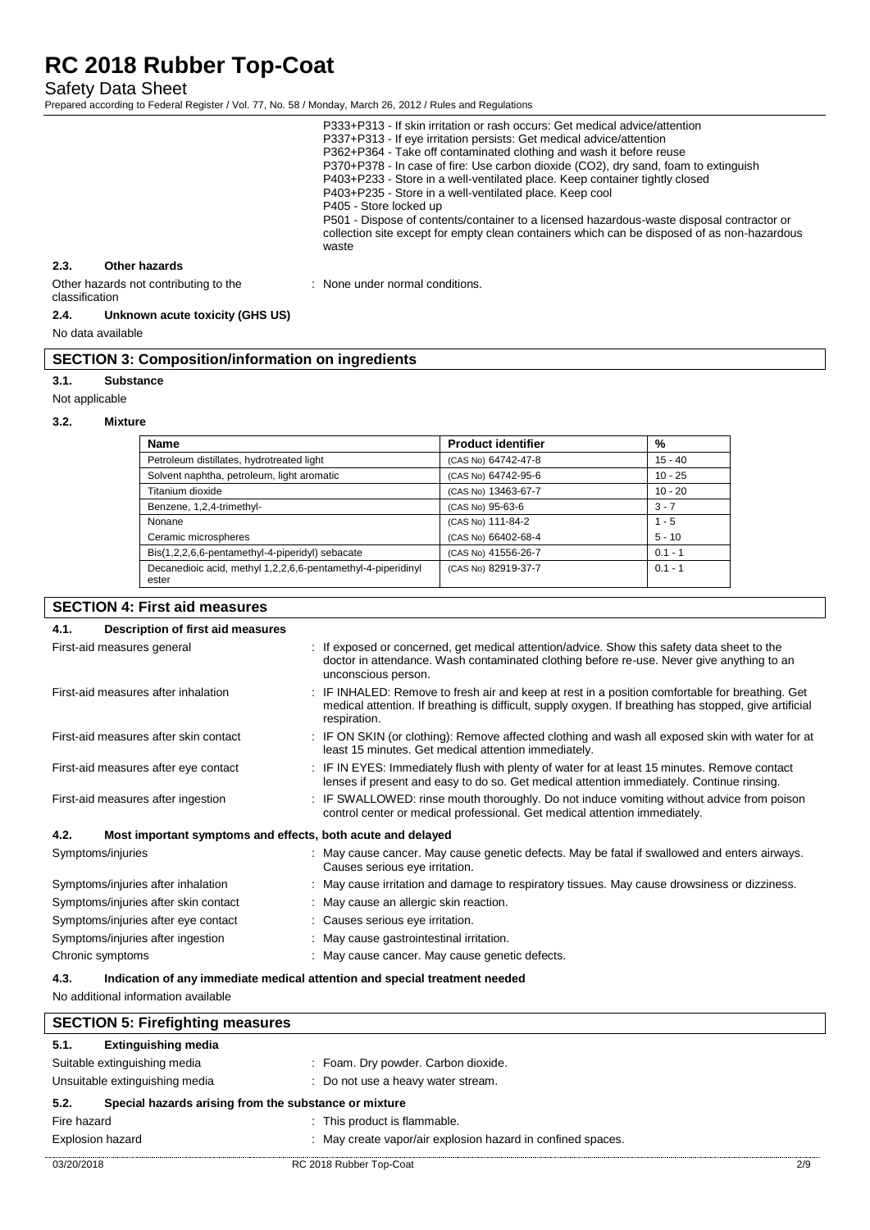Safety Data Sheet

Prepared according to Federal Register / Vol. 77, No. 58 / Monday, March 26, 2012 / Rules and Regulations

|                |                                       | P333+P313 - If skin irritation or rash occurs: Get medical advice/attention<br>P337+P313 - If eye irritation persists: Get medical advice/attention<br>P362+P364 - Take off contaminated clothing and wash it before reuse<br>P370+P378 - In case of fire: Use carbon dioxide (CO2), dry sand, foam to extinguish<br>P403+P233 - Store in a well-ventilated place. Keep container tightly closed<br>P403+P235 - Store in a well-ventilated place. Keep cool<br>P405 - Store locked up<br>P501 - Dispose of contents/container to a licensed hazardous-waste disposal contractor or<br>collection site except for empty clean containers which can be disposed of as non-hazardous<br>waste |
|----------------|---------------------------------------|--------------------------------------------------------------------------------------------------------------------------------------------------------------------------------------------------------------------------------------------------------------------------------------------------------------------------------------------------------------------------------------------------------------------------------------------------------------------------------------------------------------------------------------------------------------------------------------------------------------------------------------------------------------------------------------------|
| 2.3.           | Other hazards                         |                                                                                                                                                                                                                                                                                                                                                                                                                                                                                                                                                                                                                                                                                            |
| classification | Other hazards not contributing to the | : None under normal conditions.                                                                                                                                                                                                                                                                                                                                                                                                                                                                                                                                                                                                                                                            |

#### **2.4. Unknown acute toxicity (GHS US)**

No data available

## **SECTION 3: Composition/information on ingredients**

#### **3.1. Substance**

Not applicable

#### **3.2. Mixture**

| Name                                                                  | <b>Product identifier</b> | %         |
|-----------------------------------------------------------------------|---------------------------|-----------|
| Petroleum distillates, hydrotreated light                             | (CAS No) 64742-47-8       | $15 - 40$ |
| Solvent naphtha, petroleum, light aromatic                            | (CAS No) 64742-95-6       | $10 - 25$ |
| Titanium dioxide                                                      | (CAS No) 13463-67-7       | $10 - 20$ |
| Benzene, 1,2,4-trimethyl-                                             | (CAS No) 95-63-6          | $3 - 7$   |
| Nonane                                                                | (CAS No) 111-84-2         | $1 - 5$   |
| Ceramic microspheres                                                  | (CAS No) 66402-68-4       | $5 - 10$  |
| Bis(1,2,2,6,6-pentamethyl-4-piperidyl) sebacate                       | (CAS No) 41556-26-7       | $0.1 - 1$ |
| Decanedioic acid, methyl 1,2,2,6,6-pentamethyl-4-piperidinyl<br>ester | (CAS No) 82919-37-7       | $0.1 - 1$ |

## **SECTION 4: First aid measures**

| Description of first aid measures<br>4.1.                           |                                                                                                                                                                                                                           |
|---------------------------------------------------------------------|---------------------------------------------------------------------------------------------------------------------------------------------------------------------------------------------------------------------------|
| First-aid measures general                                          | : If exposed or concerned, get medical attention/advice. Show this safety data sheet to the<br>doctor in attendance. Wash contaminated clothing before re-use. Never give anything to an<br>unconscious person.           |
| First-aid measures after inhalation                                 | : IF INHALED: Remove to fresh air and keep at rest in a position comfortable for breathing. Get<br>medical attention. If breathing is difficult, supply oxygen. If breathing has stopped, give artificial<br>respiration. |
| First-aid measures after skin contact                               | : IF ON SKIN (or clothing): Remove affected clothing and wash all exposed skin with water for at<br>least 15 minutes. Get medical attention immediately.                                                                  |
| First-aid measures after eye contact                                | : IF IN EYES: Immediately flush with plenty of water for at least 15 minutes. Remove contact<br>lenses if present and easy to do so. Get medical attention immediately. Continue rinsing.                                 |
| First-aid measures after ingestion                                  | : IF SWALLOWED: rinse mouth thoroughly. Do not induce vomiting without advice from poison<br>control center or medical professional. Get medical attention immediately.                                                   |
| 4.2.<br>Most important symptoms and effects, both acute and delayed |                                                                                                                                                                                                                           |
| Symptoms/injuries                                                   | : May cause cancer. May cause genetic defects. May be fatal if swallowed and enters airways.<br>Causes serious eye irritation.                                                                                            |
| Symptoms/injuries after inhalation                                  | : May cause irritation and damage to respiratory tissues. May cause drowsiness or dizziness.                                                                                                                              |
| Symptoms/injuries after skin contact                                | : May cause an allergic skin reaction.                                                                                                                                                                                    |
| Symptoms/injuries after eye contact                                 | : Causes serious eye irritation.                                                                                                                                                                                          |
| Symptoms/injuries after ingestion                                   | May cause gastrointestinal irritation.                                                                                                                                                                                    |
| Chronic symptoms                                                    | May cause cancer. May cause genetic defects.                                                                                                                                                                              |

### **4.3. Indication of any immediate medical attention and special treatment needed**

No additional information available

 $\mathsf{l}$ 

| <b>SECTION 5: Firefighting measures</b>                       |                                                             |     |
|---------------------------------------------------------------|-------------------------------------------------------------|-----|
| <b>Extinguishing media</b><br>5.1.                            |                                                             |     |
| Suitable extinguishing media                                  | : Foam. Dry powder. Carbon dioxide.                         |     |
| Unsuitable extinguishing media                                | : Do not use a heavy water stream.                          |     |
| 5.2.<br>Special hazards arising from the substance or mixture |                                                             |     |
| Fire hazard                                                   | : This product is flammable.                                |     |
| <b>Explosion hazard</b>                                       | : May create vapor/air explosion hazard in confined spaces. |     |
| 03/20/2018                                                    | RC 2018 Rubber Top-Coat                                     | 2/9 |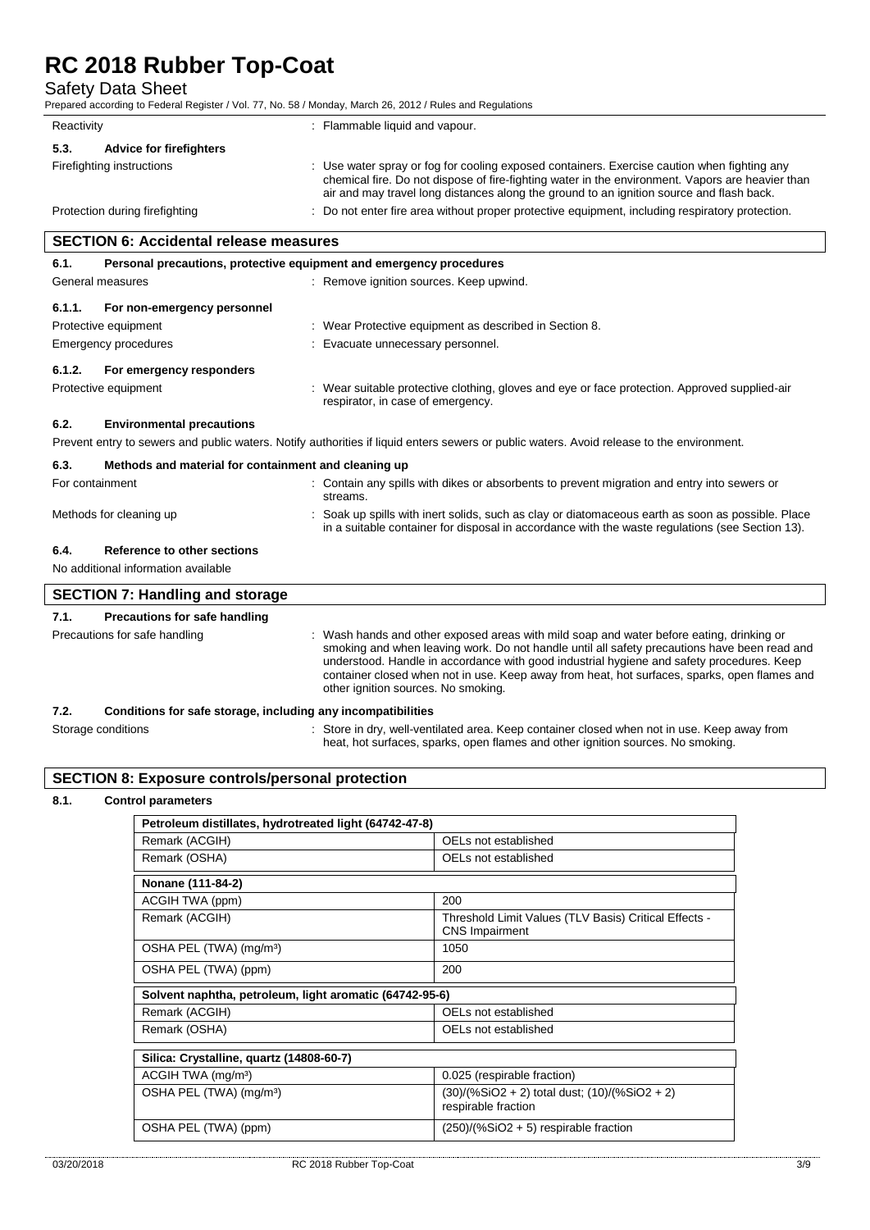Safety Data Sheet

Prepared according to Federal Register / Vol. 77, No. 58 / Monday, March 26, 2012 / Rules and Regulations

| Reactivity                             |  | : Flammable liquid and vapour.                                                                                                                                                                                                                                                              |
|----------------------------------------|--|---------------------------------------------------------------------------------------------------------------------------------------------------------------------------------------------------------------------------------------------------------------------------------------------|
| <b>Advice for firefighters</b><br>5.3. |  |                                                                                                                                                                                                                                                                                             |
| Firefighting instructions              |  | : Use water spray or fog for cooling exposed containers. Exercise caution when fighting any<br>chemical fire. Do not dispose of fire-fighting water in the environment. Vapors are heavier than<br>air and may travel long distances along the ground to an ignition source and flash back. |
| Protection during firefighting         |  | : Do not enter fire area without proper protective equipment, including respiratory protection.                                                                                                                                                                                             |

|                      | <b>SECTION 6: Accidental release measures</b>                |                                                                                                                                                                                                                                                                                                                                                                                                                              |  |
|----------------------|--------------------------------------------------------------|------------------------------------------------------------------------------------------------------------------------------------------------------------------------------------------------------------------------------------------------------------------------------------------------------------------------------------------------------------------------------------------------------------------------------|--|
| 6.1.                 |                                                              | Personal precautions, protective equipment and emergency procedures                                                                                                                                                                                                                                                                                                                                                          |  |
|                      | General measures                                             | : Remove ignition sources. Keep upwind.                                                                                                                                                                                                                                                                                                                                                                                      |  |
| 6.1.1.               | For non-emergency personnel                                  |                                                                                                                                                                                                                                                                                                                                                                                                                              |  |
|                      | Protective equipment                                         | : Wear Protective equipment as described in Section 8.                                                                                                                                                                                                                                                                                                                                                                       |  |
| Emergency procedures |                                                              | : Evacuate unnecessary personnel.                                                                                                                                                                                                                                                                                                                                                                                            |  |
| 6.1.2.               | For emergency responders                                     |                                                                                                                                                                                                                                                                                                                                                                                                                              |  |
|                      | Protective equipment                                         | : Wear suitable protective clothing, gloves and eye or face protection. Approved supplied-air<br>respirator, in case of emergency.                                                                                                                                                                                                                                                                                           |  |
| 6.2.                 | <b>Environmental precautions</b>                             |                                                                                                                                                                                                                                                                                                                                                                                                                              |  |
|                      |                                                              | Prevent entry to sewers and public waters. Notify authorities if liquid enters sewers or public waters. Avoid release to the environment.                                                                                                                                                                                                                                                                                    |  |
| 6.3.                 | Methods and material for containment and cleaning up         |                                                                                                                                                                                                                                                                                                                                                                                                                              |  |
|                      | For containment                                              | : Contain any spills with dikes or absorbents to prevent migration and entry into sewers or<br>streams.                                                                                                                                                                                                                                                                                                                      |  |
|                      | Methods for cleaning up                                      | : Soak up spills with inert solids, such as clay or diatomaceous earth as soon as possible. Place<br>in a suitable container for disposal in accordance with the waste regulations (see Section 13).                                                                                                                                                                                                                         |  |
| 6.4.                 | Reference to other sections                                  |                                                                                                                                                                                                                                                                                                                                                                                                                              |  |
|                      | No additional information available                          |                                                                                                                                                                                                                                                                                                                                                                                                                              |  |
|                      | <b>SECTION 7: Handling and storage</b>                       |                                                                                                                                                                                                                                                                                                                                                                                                                              |  |
| 7.1.                 | <b>Precautions for safe handling</b>                         |                                                                                                                                                                                                                                                                                                                                                                                                                              |  |
|                      | Precautions for safe handling                                | : Wash hands and other exposed areas with mild soap and water before eating, drinking or<br>smoking and when leaving work. Do not handle until all safety precautions have been read and<br>understood. Handle in accordance with good industrial hygiene and safety procedures. Keep<br>container closed when not in use. Keep away from heat, hot surfaces, sparks, open flames and<br>other ignition sources. No smoking. |  |
| 7.2.                 | Conditions for safe storage, including any incompatibilities |                                                                                                                                                                                                                                                                                                                                                                                                                              |  |
|                      | Storage conditions                                           | : Store in dry, well-ventilated area. Keep container closed when not in use. Keep away from                                                                                                                                                                                                                                                                                                                                  |  |

# **SECTION 8: Exposure controls/personal protection**

### **8.1. Control parameters**

 $\overline{\Gamma}$ 

| Petroleum distillates, hydrotreated light (64742-47-8)  |                                                                                |
|---------------------------------------------------------|--------------------------------------------------------------------------------|
| Remark (ACGIH)                                          | OELs not established                                                           |
| Remark (OSHA)                                           | OELs not established                                                           |
| Nonane (111-84-2)                                       |                                                                                |
| ACGIH TWA (ppm)                                         | 200                                                                            |
| Remark (ACGIH)                                          | Threshold Limit Values (TLV Basis) Critical Effects -<br><b>CNS</b> Impairment |
| OSHA PEL (TWA) (mg/m <sup>3</sup> )                     | 1050                                                                           |
| OSHA PEL (TWA) (ppm)                                    | 200                                                                            |
| Solvent naphtha, petroleum, light aromatic (64742-95-6) |                                                                                |
| Remark (ACGIH)                                          | OELs not established                                                           |
| Remark (OSHA)                                           | OELs not established                                                           |
| Silica: Crystalline, quartz (14808-60-7)                |                                                                                |
| ACGIH TWA (mg/m <sup>3</sup> )                          | 0.025 (respirable fraction)                                                    |
| OSHA PEL (TWA) (mg/m <sup>3</sup> )                     | (30)/(%SiO2 + 2) total dust; (10)/(%SiO2 + 2)<br>respirable fraction           |
| OSHA PEL (TWA) (ppm)                                    | $(250)/(%SiO2 + 5)$ respirable fraction                                        |

heat, hot surfaces, sparks, open flames and other ignition sources. No smoking.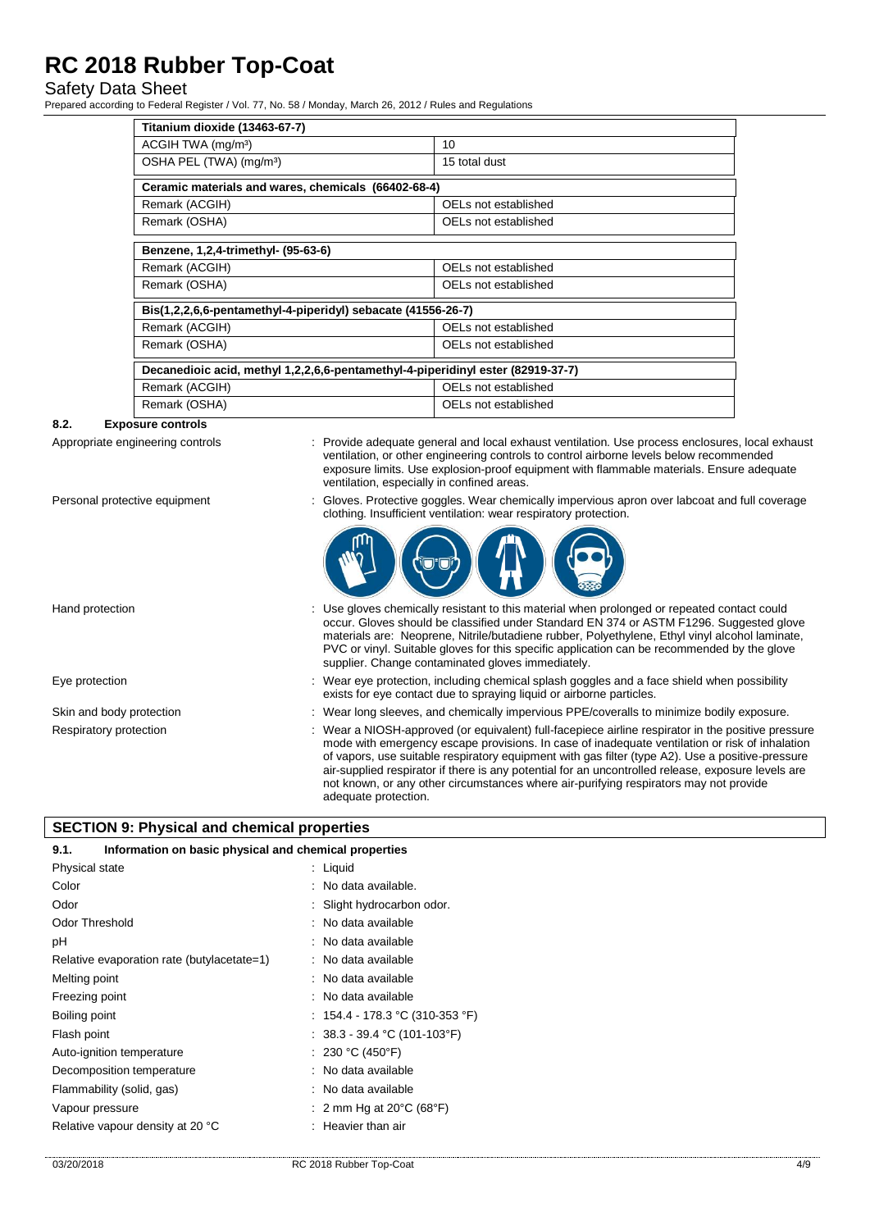## Safety Data Sheet

Prepared according to Federal Register / Vol. 77, No. 58 / Monday, March 26, 2012 / Rules and Regulations

| Titanium dioxide (13463-67-7)                                                   |                      |  |
|---------------------------------------------------------------------------------|----------------------|--|
| ACGIH TWA (mg/m <sup>3</sup> )                                                  | 10 <sup>1</sup>      |  |
| OSHA PEL (TWA) (mg/m <sup>3</sup> )                                             | 15 total dust        |  |
| Ceramic materials and wares, chemicals (66402-68-4)                             |                      |  |
| Remark (ACGIH)                                                                  | OELs not established |  |
| Remark (OSHA)                                                                   | OELs not established |  |
| Benzene, 1,2,4-trimethyl- (95-63-6)                                             |                      |  |
| Remark (ACGIH)                                                                  | OELs not established |  |
| Remark (OSHA)                                                                   | OELs not established |  |
| Bis(1,2,2,6,6-pentamethyl-4-piperidyl) sebacate (41556-26-7)                    |                      |  |
| Remark (ACGIH)                                                                  | OELs not established |  |
| Remark (OSHA)                                                                   | OELs not established |  |
| Decanedioic acid, methyl 1,2,2,6,6-pentamethyl-4-piperidinyl ester (82919-37-7) |                      |  |
| Remark (ACGIH)                                                                  | OELs not established |  |
| Remark (OSHA)                                                                   | OELs not established |  |

#### **8.2. Exposure controls**

Appropriate engineering controls : Provide adequate general and local exhaust ventilation. Use process enclosures, local exhaust ventilation, or other engineering controls to control airborne levels below recommended exposure limits. Use explosion-proof equipment with flammable materials. Ensure adequate ventilation, especially in confined areas.

- 
- Personal protective equipment : Gloves. Protective goggles. Wear chemically impervious apron over labcoat and full coverage clothing. Insufficient ventilation: wear respiratory protection.



Hand protection **interval of the USE gloves** chemically resistant to this material when prolonged or repeated contact could occur. Gloves should be classified under Standard EN 374 or ASTM F1296. Suggested glove materials are: Neoprene, Nitrile/butadiene rubber, Polyethylene, Ethyl vinyl alcohol laminate, PVC or vinyl. Suitable gloves for this specific application can be recommended by the glove supplier. Change contaminated gloves immediately. Eye protection states of the state of the wear eye protection, including chemical splash goggles and a face shield when possibility exists for eye contact due to spraying liquid or airborne particles. Skin and body protection : Wear long sleeves, and chemically impervious PPE/coveralls to minimize bodily exposure. Respiratory protection : Wear a NIOSH-approved (or equivalent) full-facepiece airline respirator in the positive pressure mode with emergency escape provisions. In case of inadequate ventilation or risk of inhalation of vapors, use suitable respiratory equipment with gas filter (type A2). Use a positive-pressure air-supplied respirator if there is any potential for an uncontrolled release, exposure levels are not known, or any other circumstances where air-purifying respirators may not provide

adequate protection.

## **SECTION 9: Physical and chemical properties**

| Information on basic physical and chemical properties<br>9.1. |                                             |  |  |
|---------------------------------------------------------------|---------------------------------------------|--|--|
| Physical state                                                | : Liquid                                    |  |  |
| Color                                                         | : No data available.                        |  |  |
| Odor                                                          | : Slight hydrocarbon odor.                  |  |  |
| <b>Odor Threshold</b>                                         | : No data available                         |  |  |
| рH                                                            | : No data available                         |  |  |
| Relative evaporation rate (butylacetate=1)                    | : No data available                         |  |  |
| Melting point                                                 | : No data available                         |  |  |
| Freezing point                                                | No data available                           |  |  |
| Boiling point                                                 | : 154.4 - 178.3 °C (310-353 °F)             |  |  |
| Flash point                                                   | : $38.3 - 39.4$ °C (101-103°F)              |  |  |
| Auto-ignition temperature                                     | : 230 °C (450°F)                            |  |  |
| Decomposition temperature                                     | : No data available                         |  |  |
| Flammability (solid, gas)                                     | : No data available                         |  |  |
| Vapour pressure                                               | 2 mm Hg at $20^{\circ}$ C (68 $^{\circ}$ F) |  |  |
| Relative vapour density at 20 °C                              | Heavier than air                            |  |  |
|                                                               |                                             |  |  |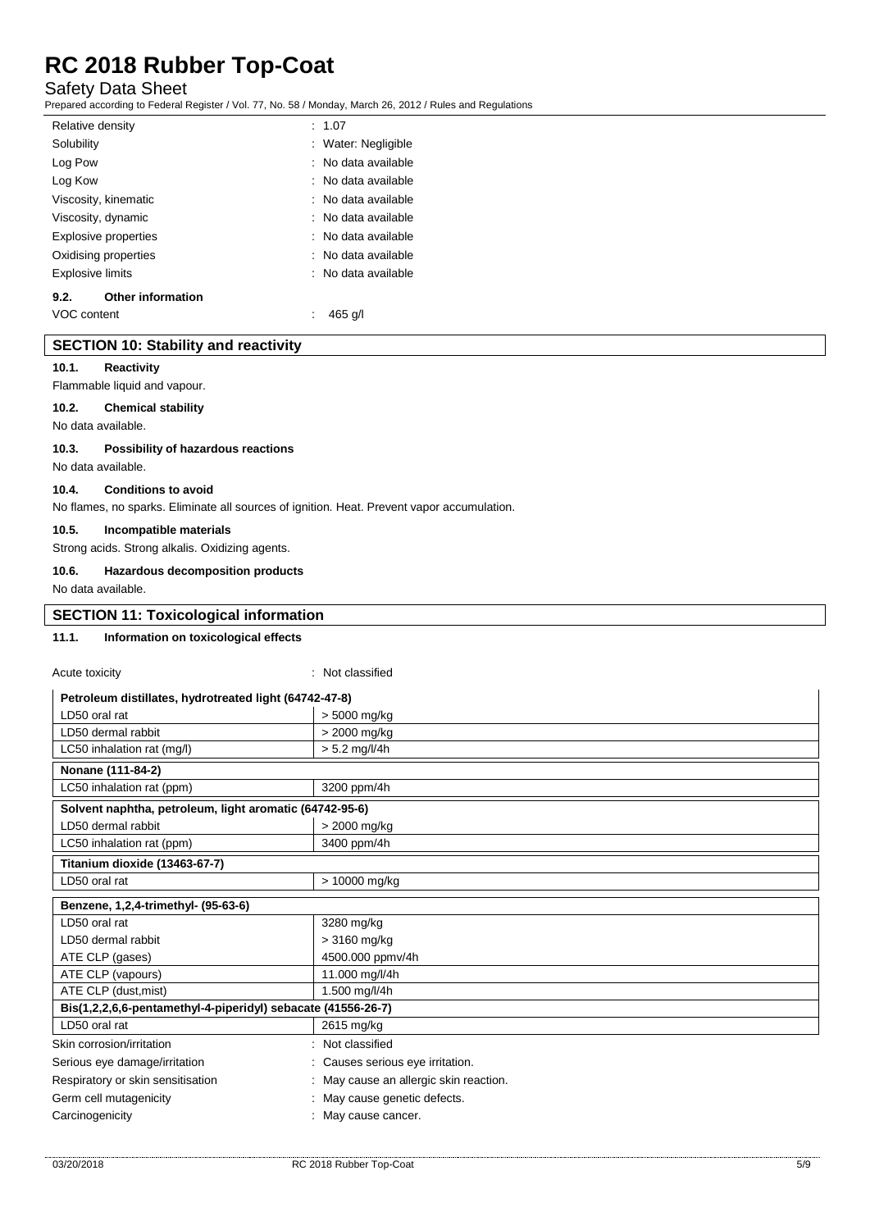## Safety Data Sheet

Prepared according to Federal Register / Vol. 77, No. 58 / Monday, March 26, 2012 / Rules and Regulations

| Relative density        |                             | : 1.07              |
|-------------------------|-----------------------------|---------------------|
| Solubility              |                             | : Water: Negligible |
| Log Pow                 |                             | : No data available |
| Log Kow                 |                             | : No data available |
|                         | Viscosity, kinematic        | : No data available |
|                         | Viscosity, dynamic          | : No data available |
|                         | <b>Explosive properties</b> | : No data available |
|                         | Oxidising properties        | : No data available |
| <b>Explosive limits</b> |                             | : No data available |
| 9.2.                    | <b>Other information</b>    |                     |
| VOC content             |                             | 465 a/l             |

### **SECTION 10: Stability and reactivity**

#### **10.1. Reactivity**

Flammable liquid and vapour.

### **10.2. Chemical stability**

No data available.

#### **10.3. Possibility of hazardous reactions**

No data available.

### **10.4. Conditions to avoid**

No flames, no sparks. Eliminate all sources of ignition. Heat. Prevent vapor accumulation.

#### **10.5. Incompatible materials**

Strong acids. Strong alkalis. Oxidizing agents.

## **10.6. Hazardous decomposition products**

No data available.

## **SECTION 11: Toxicological information**

Acute toxicity : Not classified

### **11.1. Information on toxicological effects**

| Acute toxicity                                               | . TVUL GRISSINGU                     |  |
|--------------------------------------------------------------|--------------------------------------|--|
| Petroleum distillates, hydrotreated light (64742-47-8)       |                                      |  |
| LD50 oral rat                                                | > 5000 mg/kg                         |  |
| LD50 dermal rabbit                                           | > 2000 mg/kg                         |  |
| LC50 inhalation rat (mg/l)                                   | $> 5.2$ mg/l/4h                      |  |
| Nonane (111-84-2)                                            |                                      |  |
| LC50 inhalation rat (ppm)                                    | 3200 ppm/4h                          |  |
| Solvent naphtha, petroleum, light aromatic (64742-95-6)      |                                      |  |
| LD50 dermal rabbit                                           | > 2000 mg/kg                         |  |
| LC50 inhalation rat (ppm)                                    | 3400 ppm/4h                          |  |
| Titanium dioxide (13463-67-7)                                |                                      |  |
| LD50 oral rat                                                | > 10000 mg/kg                        |  |
| Benzene, 1,2,4-trimethyl- (95-63-6)                          |                                      |  |
| LD50 oral rat                                                | 3280 mg/kg                           |  |
| LD50 dermal rabbit                                           | > 3160 mg/kg                         |  |
| ATE CLP (gases)                                              | 4500.000 ppmv/4h                     |  |
| ATE CLP (vapours)                                            | 11.000 mg/l/4h                       |  |
| ATE CLP (dust, mist)                                         | 1.500 mg/l/4h                        |  |
| Bis(1,2,2,6,6-pentamethyl-4-piperidyl) sebacate (41556-26-7) |                                      |  |
| LD50 oral rat                                                | 2615 mg/kg                           |  |
| Skin corrosion/irritation                                    | Not classified                       |  |
| Serious eye damage/irritation                                | Causes serious eye irritation.       |  |
| Respiratory or skin sensitisation                            | May cause an allergic skin reaction. |  |
| Germ cell mutagenicity                                       | May cause genetic defects.           |  |
| Carcinogenicity                                              | May cause cancer.                    |  |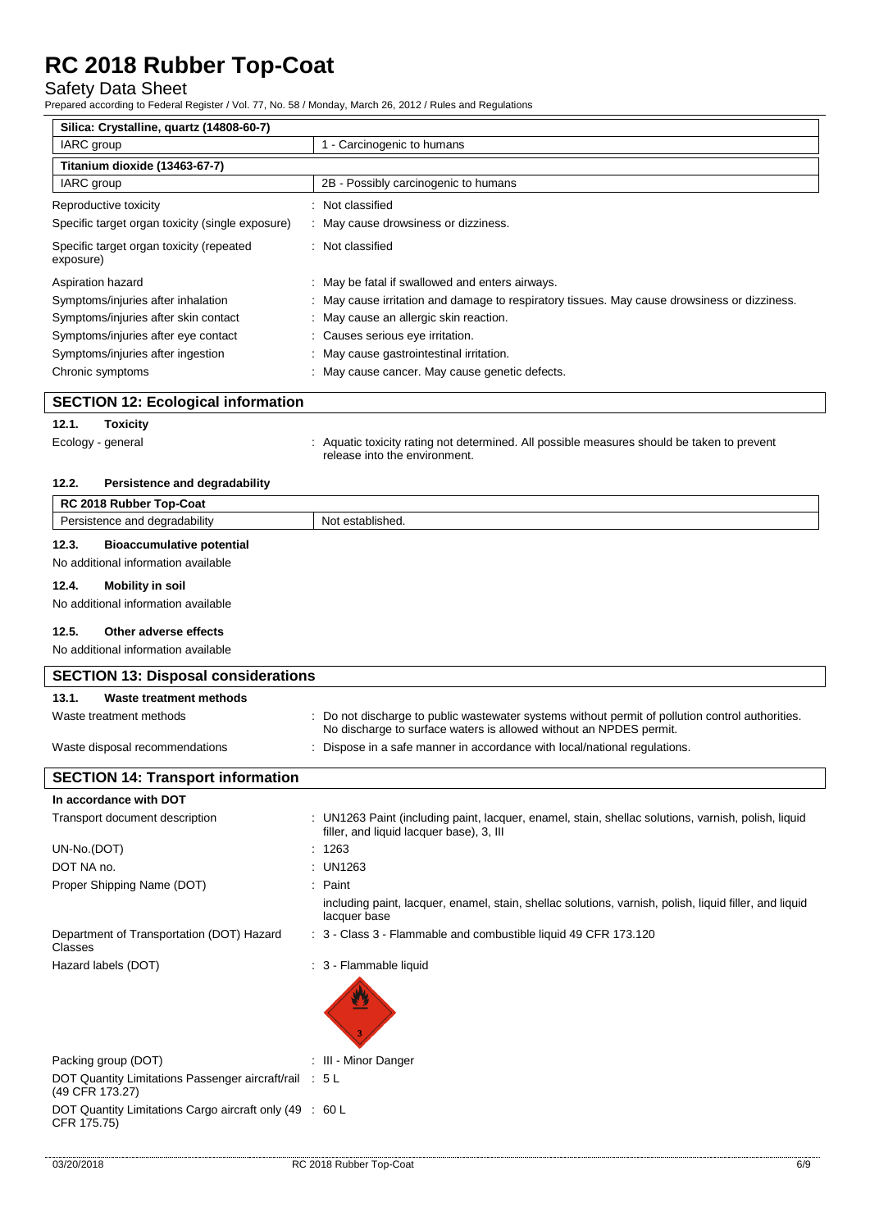## Safety Data Sheet

 $\overline{\mathbf{r}}$ 

Prepared according to Federal Register / Vol. 77, No. 58 / Monday, March 26, 2012 / Rules and Regulations

| Silica: Crystalline, quartz (14808-60-7)              |                                                                                            |  |  |
|-------------------------------------------------------|--------------------------------------------------------------------------------------------|--|--|
| IARC group                                            | - Carcinogenic to humans                                                                   |  |  |
| Titanium dioxide (13463-67-7)                         |                                                                                            |  |  |
| IARC group                                            | 2B - Possibly carcinogenic to humans                                                       |  |  |
| Reproductive toxicity                                 | Not classified                                                                             |  |  |
| Specific target organ toxicity (single exposure)      | : May cause drowsiness or dizziness.                                                       |  |  |
| Specific target organ toxicity (repeated<br>exposure) | : Not classified                                                                           |  |  |
| Aspiration hazard                                     | : May be fatal if swallowed and enters airways.                                            |  |  |
| Symptoms/injuries after inhalation                    | May cause irritation and damage to respiratory tissues. May cause drowsiness or dizziness. |  |  |
| Symptoms/injuries after skin contact                  | : May cause an allergic skin reaction.                                                     |  |  |
| Symptoms/injuries after eye contact                   | : Causes serious eye irritation.                                                           |  |  |
| Symptoms/injuries after ingestion                     | : May cause gastrointestinal irritation.                                                   |  |  |
| Chronic symptoms                                      | May cause cancer. May cause genetic defects.                                               |  |  |
| <b>SECTION 12: Ecological information</b>             |                                                                                            |  |  |

#### **SECTION 12: Ecological information**

## **12.1. Toxicity**

Ecology - general **interpretatal in the system of the system** of determined. All possible measures should be taken to prevent release into the environment.

#### **12.2. Persistence and degradability**

| RC 2018 Rubber Top-Coat                   |                  |  |
|-------------------------------------------|------------------|--|
| Persistence and degradability             | Not established. |  |
| 12.3.<br><b>Bioaccumulative potential</b> |                  |  |
| No additional information available       |                  |  |

## **12.4. Mobility in soil**

No additional information available

### **12.5. Other adverse effects**

No additional information available

| <b>SECTION 13: Disposal considerations</b>                                |  |                                                                                                                                                                      |
|---------------------------------------------------------------------------|--|----------------------------------------------------------------------------------------------------------------------------------------------------------------------|
| Waste treatment methods<br>13.1.                                          |  |                                                                                                                                                                      |
| Waste treatment methods                                                   |  | Do not discharge to public wastewater systems without permit of pollution control authorities.<br>No discharge to surface waters is allowed without an NPDES permit. |
| Waste disposal recommendations                                            |  | Dispose in a safe manner in accordance with local/national regulations.                                                                                              |
| <b>SECTION 14: Transport information</b>                                  |  |                                                                                                                                                                      |
| In accordance with DOT                                                    |  |                                                                                                                                                                      |
| Transport document description                                            |  | : UN1263 Paint (including paint, lacquer, enamel, stain, shellac solutions, varnish, polish, liquid<br>filler, and liquid lacquer base), 3, III                      |
| UN-No.(DOT)                                                               |  | 1263                                                                                                                                                                 |
| DOT NA no.                                                                |  | <b>UN1263</b>                                                                                                                                                        |
| Proper Shipping Name (DOT)                                                |  | $:$ Paint                                                                                                                                                            |
|                                                                           |  | including paint, lacquer, enamel, stain, shellac solutions, varnish, polish, liquid filler, and liquid<br>lacquer base                                               |
| Department of Transportation (DOT) Hazard<br>Classes                      |  | : 3 - Class 3 - Flammable and combustible liquid 49 CFR 173.120                                                                                                      |
| Hazard labels (DOT)                                                       |  | : 3 - Flammable liquid                                                                                                                                               |
|                                                                           |  |                                                                                                                                                                      |
| Packing group (DOT)                                                       |  | III - Minor Danger                                                                                                                                                   |
| DOT Quantity Limitations Passenger aircraft/rail : 5 L<br>(49 CFR 173.27) |  |                                                                                                                                                                      |
| DOT Quantity Limitations Cargo aircraft only (49 : 60 L<br>CFR 175.75)    |  |                                                                                                                                                                      |

ī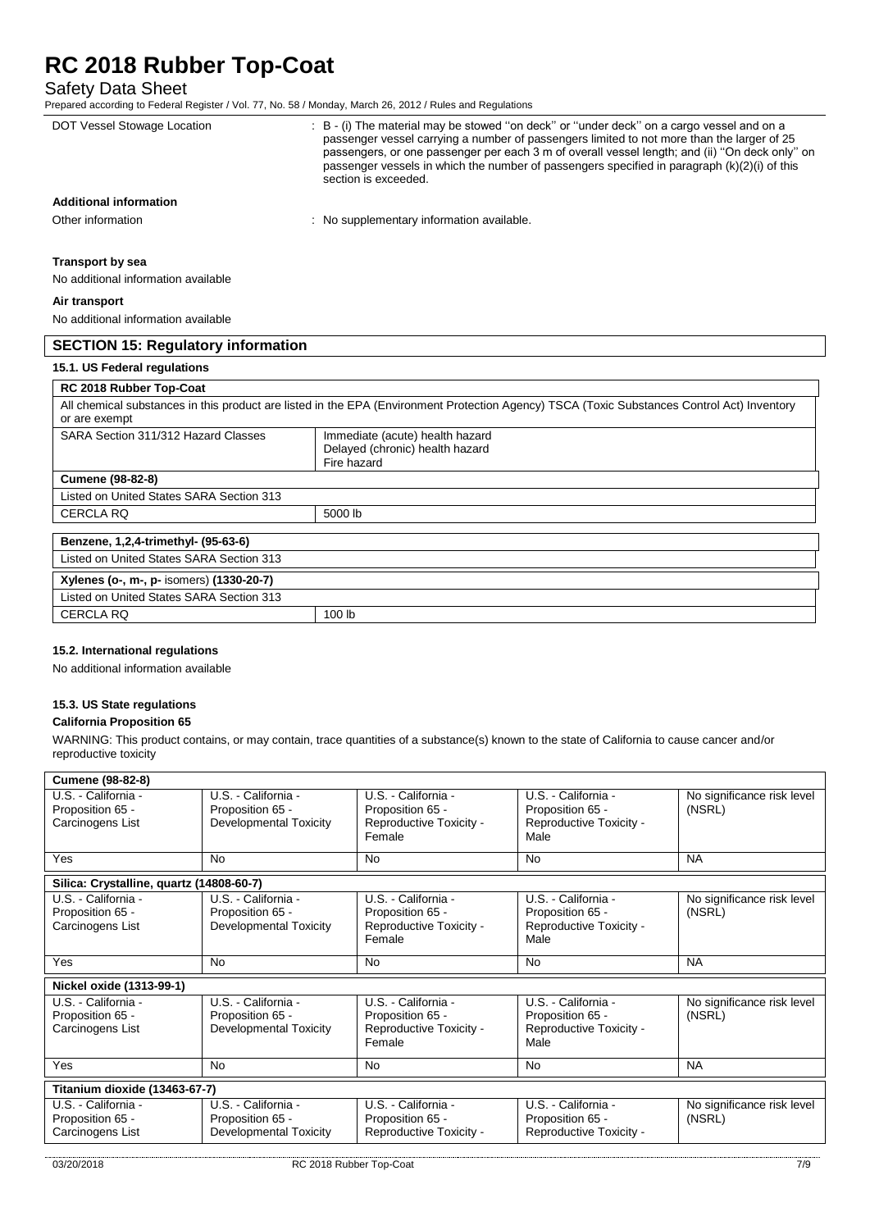# Safety Data Sheet

Prepared according to Federal Register / Vol. 77, No. 58 / Monday, March 26, 2012 / Rules and Regulations

|                                                                                                                                                              | Prepared according to Federal Register / Vol. 77, No. 58 / Monday, March 26, 2012 / Rules and Regulations                                                                                                                                                                                                                                                                                                           |  |
|--------------------------------------------------------------------------------------------------------------------------------------------------------------|---------------------------------------------------------------------------------------------------------------------------------------------------------------------------------------------------------------------------------------------------------------------------------------------------------------------------------------------------------------------------------------------------------------------|--|
| DOT Vessel Stowage Location                                                                                                                                  | : B - (i) The material may be stowed "on deck" or "under deck" on a cargo vessel and on a<br>passenger vessel carrying a number of passengers limited to not more than the larger of 25<br>passengers, or one passenger per each 3 m of overall vessel length; and (ii) "On deck only" on<br>passenger vessels in which the number of passengers specified in paragraph $(k)(2)(i)$ of this<br>section is exceeded. |  |
| <b>Additional information</b>                                                                                                                                |                                                                                                                                                                                                                                                                                                                                                                                                                     |  |
| Other information                                                                                                                                            | : No supplementary information available.                                                                                                                                                                                                                                                                                                                                                                           |  |
| <b>Transport by sea</b>                                                                                                                                      |                                                                                                                                                                                                                                                                                                                                                                                                                     |  |
| No additional information available                                                                                                                          |                                                                                                                                                                                                                                                                                                                                                                                                                     |  |
| Air transport                                                                                                                                                |                                                                                                                                                                                                                                                                                                                                                                                                                     |  |
| No additional information available                                                                                                                          |                                                                                                                                                                                                                                                                                                                                                                                                                     |  |
| <b>SECTION 15: Regulatory information</b>                                                                                                                    |                                                                                                                                                                                                                                                                                                                                                                                                                     |  |
| 15.1. US Federal regulations                                                                                                                                 |                                                                                                                                                                                                                                                                                                                                                                                                                     |  |
| <b>RC 2018 Rubber Top-Coat</b>                                                                                                                               |                                                                                                                                                                                                                                                                                                                                                                                                                     |  |
| All chemical substances in this product are listed in the EPA (Environment Protection Agency) TSCA (Toxic Substances Control Act) Inventory<br>or are exempt |                                                                                                                                                                                                                                                                                                                                                                                                                     |  |
|                                                                                                                                                              |                                                                                                                                                                                                                                                                                                                                                                                                                     |  |

| <b>OF AIG CACTILIPL</b>                  |                                                                                   |  |
|------------------------------------------|-----------------------------------------------------------------------------------|--|
| SARA Section 311/312 Hazard Classes      | Immediate (acute) health hazard<br>Delayed (chronic) health hazard<br>Fire hazard |  |
| <b>Cumene (98-82-8)</b>                  |                                                                                   |  |
| Listed on United States SARA Section 313 |                                                                                   |  |
| <b>CERCLA RQ</b>                         | 5000 lb                                                                           |  |
|                                          |                                                                                   |  |
| Benzene, 1,2,4-trimethyl- (95-63-6)      |                                                                                   |  |
| Listed on United States SARA Section 313 |                                                                                   |  |
| Xylenes (o-, m-, p- isomers) (1330-20-7) |                                                                                   |  |
| Listed on United States SARA Section 313 |                                                                                   |  |
| <b>CERCLA RQ</b>                         | 100 lb                                                                            |  |
|                                          |                                                                                   |  |

#### **15.2. International regulations**

No additional information available

### **15.3. US State regulations**

#### **California Proposition 65**

WARNING: This product contains, or may contain, trace quantities of a substance(s) known to the state of California to cause cancer and/or reproductive toxicity

| <b>Cumene (98-82-8)</b>                                     |                                                                          |                                                                              |                                                                            |                                      |
|-------------------------------------------------------------|--------------------------------------------------------------------------|------------------------------------------------------------------------------|----------------------------------------------------------------------------|--------------------------------------|
| U.S. California -<br>Proposition 65 -<br>Carcinogens List   | U.S. - California -<br>Proposition 65 -<br><b>Developmental Toxicity</b> | U.S. - California -<br>Proposition 65 -<br>Reproductive Toxicity -<br>Female | U.S. - California -<br>Proposition 65 -<br>Reproductive Toxicity -<br>Male | No significance risk level<br>(NSRL) |
| Yes                                                         | <b>No</b>                                                                | <b>No</b>                                                                    | <b>No</b>                                                                  | <b>NA</b>                            |
| Silica: Crystalline, quartz (14808-60-7)                    |                                                                          |                                                                              |                                                                            |                                      |
| U.S. California -<br>Proposition 65 -<br>Carcinogens List   | U.S. California -<br>Proposition 65 -<br><b>Developmental Toxicity</b>   | U.S. - California -<br>Proposition 65 -<br>Reproductive Toxicity -<br>Female | U.S. - California -<br>Proposition 65 -<br>Reproductive Toxicity -<br>Male | No significance risk level<br>(NSRL) |
| Yes                                                         | No                                                                       | <b>No</b>                                                                    | No                                                                         | <b>NA</b>                            |
| Nickel oxide (1313-99-1)                                    |                                                                          |                                                                              |                                                                            |                                      |
| U.S. - California -<br>Proposition 65 -<br>Carcinogens List | U.S. - California -<br>Proposition 65 -<br><b>Developmental Toxicity</b> | U.S. - California -<br>Proposition 65 -<br>Reproductive Toxicity -<br>Female | U.S. - California -<br>Proposition 65 -<br>Reproductive Toxicity -<br>Male | No significance risk level<br>(NSRL) |
| Yes                                                         | No                                                                       | <b>No</b>                                                                    | <b>No</b>                                                                  | <b>NA</b>                            |
| Titanium dioxide (13463-67-7)                               |                                                                          |                                                                              |                                                                            |                                      |
| U.S. - California -<br>Proposition 65 -<br>Carcinogens List | U.S. - California -<br>Proposition 65 -<br>Developmental Toxicity        | U.S. - California -<br>Proposition 65 -<br>Reproductive Toxicity -           | U.S. - California -<br>Proposition 65 -<br>Reproductive Toxicity -         | No significance risk level<br>(NSRL) |